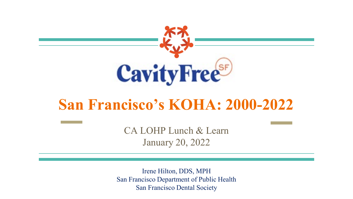

#### **San Francisco's KOHA: 2000-2022**

CA LOHP Lunch & Learn January 20, 2022

Irene Hilton, DDS, MPH San Francisco Department of Public Health San Francisco Dental Society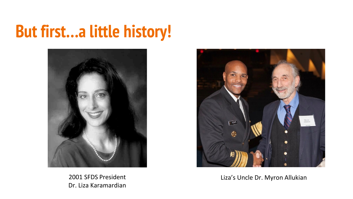#### **But first…a little history!**



2001 SFDS President Dr. Liza Karamardian



Liza's Uncle Dr. Myron Allukian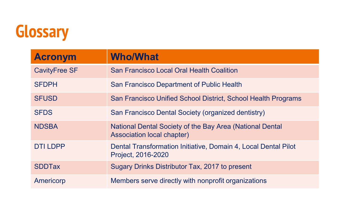

| <b>Acronym</b>       | <b>Who/What</b>                                                                               |
|----------------------|-----------------------------------------------------------------------------------------------|
| <b>CavityFree SF</b> | <b>San Francisco Local Oral Health Coalition</b>                                              |
| <b>SFDPH</b>         | San Francisco Department of Public Health                                                     |
| <b>SFUSD</b>         | San Francisco Unified School District, School Health Programs                                 |
| <b>SFDS</b>          | San Francisco Dental Society (organized dentistry)                                            |
| <b>NDSBA</b>         | National Dental Society of the Bay Area (National Dental<br><b>Association local chapter)</b> |
| <b>DTI LDPP</b>      | Dental Transformation Initiative, Domain 4, Local Dental Pilot<br>Project, 2016-2020          |
| <b>SDDTax</b>        | Sugary Drinks Distributor Tax, 2017 to present                                                |
| Americorp            | Members serve directly with nonprofit organizations                                           |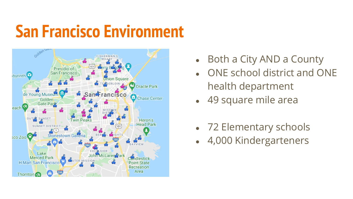#### **San Francisco Environment**



- Both a City AND a County
- ONE school district and ONE health department
- 49 square mile area
- 72 Elementary schools
- 4,000 Kindergarteners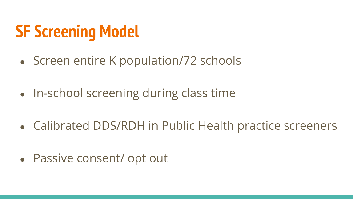# **SF Screening Model**

- Screen entire K population/72 schools
- In-school screening during class time
- Calibrated DDS/RDH in Public Health practice screeners
- Passive consent/ opt out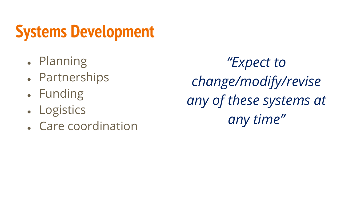## **Systems Development**

- Planning
- Partnerships
- Funding
- **Logistics**
- Care coordination

*"Expect to change/modify/revise any of these systems at any time"*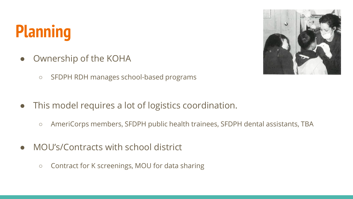# **Planning**

- Ownership of the KOHA
	- SFDPH RDH manages school-based programs
- This model requires a lot of logistics coordination.
	- AmeriCorps members, SFDPH public health trainees, SFDPH dental assistants, TBA
- MOU's/Contracts with school district
	- Contract for K screenings, MOU for data sharing

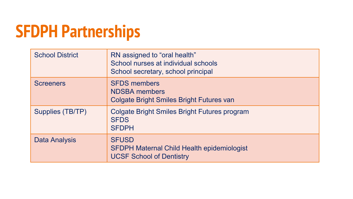# **SFDPH Partnerships**

| <b>School District</b> | RN assigned to "oral health"<br>School nurses at individual schools<br>School secretary, school principal |
|------------------------|-----------------------------------------------------------------------------------------------------------|
| <b>Screeners</b>       | <b>SFDS members</b><br><b>NDSBA</b> members<br>Colgate Bright Smiles Bright Futures van                   |
| Supplies (TB/TP)       | Colgate Bright Smiles Bright Futures program<br><b>SFDS</b><br><b>SFDPH</b>                               |
| <b>Data Analysis</b>   | <b>SFUSD</b><br><b>SFDPH Maternal Child Health epidemiologist</b><br><b>UCSF School of Dentistry</b>      |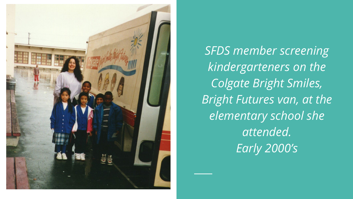

*SFDS member screening kindergarteners on the Colgate Bright Smiles, Bright Futures van, at the elementary school she attended. Early 2000's*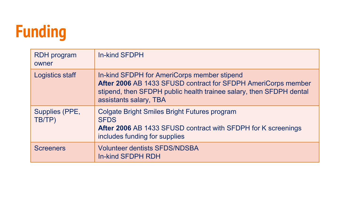# **Funding**

| <b>RDH</b> program<br>owner | <b>In-kind SFDPH</b>                                                                                                                                                                                          |
|-----------------------------|---------------------------------------------------------------------------------------------------------------------------------------------------------------------------------------------------------------|
| <b>Logistics staff</b>      | In-kind SFDPH for AmeriCorps member stipend<br>After 2006 AB 1433 SFUSD contract for SFDPH AmeriCorps member<br>stipend, then SFDPH public health trainee salary, then SFDPH dental<br>assistants salary, TBA |
| Supplies (PPE,<br>TB/TP)    | Colgate Bright Smiles Bright Futures program<br><b>SFDS</b><br>After 2006 AB 1433 SFUSD contract with SFDPH for K screenings<br>includes funding for supplies                                                 |
| <b>Screeners</b>            | <b>Volunteer dentists SFDS/NDSBA</b><br><b>In-kind SFDPH RDH</b>                                                                                                                                              |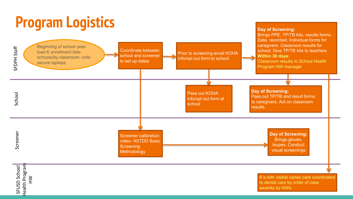#### **Program Logistics**



**Day of Screening:**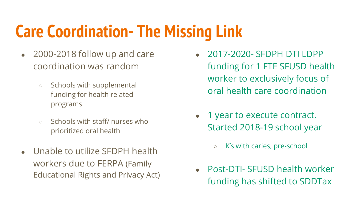## **Care Coordination- The Missing Link**

- 2000-2018 follow up and care coordination was random
	- Schools with supplemental funding for health related programs
	- Schools with staff/ nurses who prioritized oral health
- Unable to utilize SFDPH health workers due to FERPA (Family Educational Rights and Privacy Act)
- 2017-2020- SEDPH DTI LDPP funding for 1 FTE SFUSD health worker to exclusively focus of oral health care coordination
- 1 year to execute contract. Started 2018-19 school year
	- K's with caries, pre-school
- Post-DTI- SFUSD health worker funding has shifted to SDDTax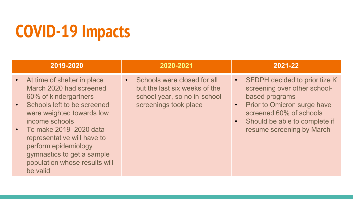# **COVID-19 Impacts**

| At time of shelter in place<br>March 2020 had screened<br>60% of kindergartners<br>Schools left to be screened<br>were weighted towards low<br>income schools<br>$\cdot$ To make 2019–2020 data<br>representative will have to<br>perform epidemiology<br>gymnastics to get a sample<br>population whose results will<br>be valid | Schools were closed for all<br>but the last six weeks of the<br>school year, so no in-school<br>screenings took place | <b>SFDPH decided to prioritize K</b><br>$\bullet$<br>screening over other school-<br>based programs<br>Prior to Omicron surge have<br>$\bullet$<br>screened 60% of schools<br>Should be able to complete if<br>resume screening by March |
|-----------------------------------------------------------------------------------------------------------------------------------------------------------------------------------------------------------------------------------------------------------------------------------------------------------------------------------|-----------------------------------------------------------------------------------------------------------------------|------------------------------------------------------------------------------------------------------------------------------------------------------------------------------------------------------------------------------------------|